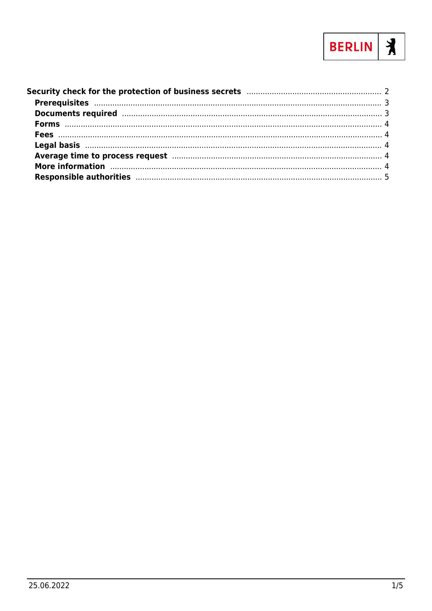

| Average time to process request manufacture and the contract of 4                                                                                                                                                              |  |
|--------------------------------------------------------------------------------------------------------------------------------------------------------------------------------------------------------------------------------|--|
| More information manufactured and all the contract of the contract of the contract of the contract of the contract of the contract of the contract of the contract of the contract of the contract of the contract of the cont |  |
| Responsible authorities manufactured and the control of the state of the state of the state of the state of the                                                                                                                |  |
|                                                                                                                                                                                                                                |  |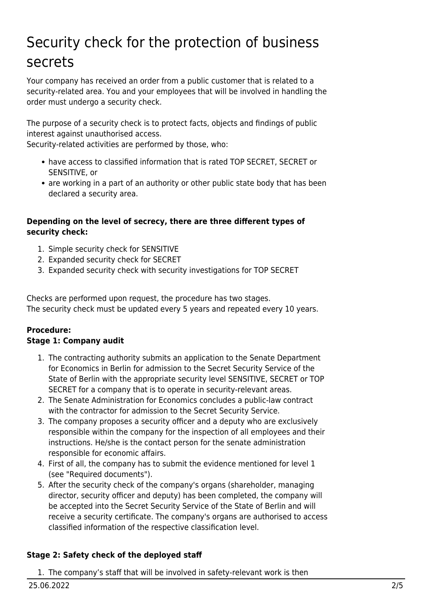# <span id="page-1-0"></span>Security check for the protection of business secrets

Your company has received an order from a public customer that is related to a security-related area. You and your employees that will be involved in handling the order must undergo a security check.

The purpose of a security check is to protect facts, objects and findings of public interest against unauthorised access.

Security-related activities are performed by those, who:

- have access to classified information that is rated TOP SECRET, SECRET or SENSITIVE, or
- are working in a part of an authority or other public state body that has been declared a security area.

#### **Depending on the level of secrecy, there are three different types of security check:**

- 1. Simple security check for SENSITIVE
- 2. Expanded security check for SECRET
- 3. Expanded security check with security investigations for TOP SECRET

Checks are performed upon request, the procedure has two stages. The security check must be updated every 5 years and repeated every 10 years.

#### **Procedure: Stage 1: Company audit**

- 1. The contracting authority submits an application to the Senate Department for Economics in Berlin for admission to the Secret Security Service of the State of Berlin with the appropriate security level SENSITIVE, SECRET or TOP SECRET for a company that is to operate in security-relevant areas.
- 2. The Senate Administration for Economics concludes a public-law contract with the contractor for admission to the Secret Security Service.
- 3. The company proposes a security officer and a deputy who are exclusively responsible within the company for the inspection of all employees and their instructions. He/she is the contact person for the senate administration responsible for economic affairs.
- 4. First of all, the company has to submit the evidence mentioned for level 1 (see "Required documents").
- 5. After the security check of the company's organs (shareholder, managing director, security officer and deputy) has been completed, the company will be accepted into the Secret Security Service of the State of Berlin and will receive a security certificate. The company's organs are authorised to access classified information of the respective classification level.

#### **Stage 2: Safety check of the deployed staff**

1. The company's staff that will be involved in safety-relevant work is then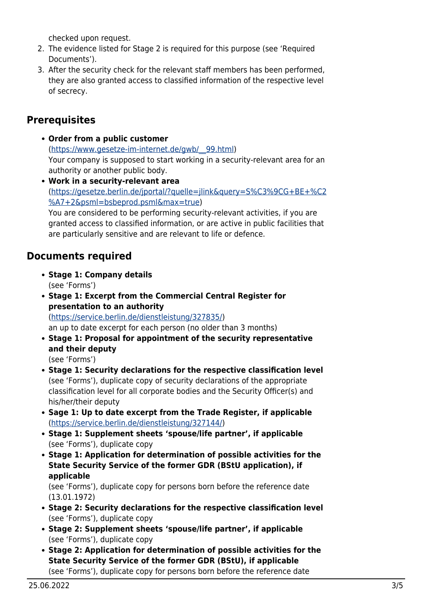checked upon request.

- 2. The evidence listed for Stage 2 is required for this purpose (see 'Required Documents').
- 3. After the security check for the relevant staff members has been performed, they are also granted access to classified information of the respective level of secrecy.

## <span id="page-2-0"></span>**Prerequisites**

- **Order from a public customer** ([https://www.gesetze-im-internet.de/gwb/\\_\\_99.html](https://www.gesetze-im-internet.de/gwb/__99.html)) Your company is supposed to start working in a security-relevant area for an authority or another public body.
- **Work in a security-relevant area** ([https://gesetze.berlin.de/jportal/?quelle=jlink&query=S%C3%9CG+BE+%C2](https://gesetze.berlin.de/jportal/?quelle=jlink&query=S%C3%9CG+BE+%C2%A7+2&psml=bsbeprod.psml&max=true) [%A7+2&psml=bsbeprod.psml&max=true](https://gesetze.berlin.de/jportal/?quelle=jlink&query=S%C3%9CG+BE+%C2%A7+2&psml=bsbeprod.psml&max=true)) You are considered to be performing security-relevant activities, if you are granted access to classified information, or are active in public facilities that are particularly sensitive and are relevant to life or defence.

## <span id="page-2-1"></span>**Documents required**

- **Stage 1: Company details** (see 'Forms')
- **Stage 1: Excerpt from the Commercial Central Register for presentation to an authority** (<https://service.berlin.de/dienstleistung/327835/>)

an up to date excerpt for each person (no older than 3 months)

- **Stage 1: Proposal for appointment of the security representative and their deputy** (see 'Forms')
- **Stage 1: Security declarations for the respective classification level** (see 'Forms'), duplicate copy of security declarations of the appropriate classification level for all corporate bodies and the Security Officer(s) and his/her/their deputy
- **Sage 1: Up to date excerpt from the Trade Register, if applicable** (<https://service.berlin.de/dienstleistung/327144/>)
- **Stage 1: Supplement sheets 'spouse/life partner', if applicable** (see 'Forms'), duplicate copy
- **Stage 1: Application for determination of possible activities for the State Security Service of the former GDR (BStU application), if applicable**

(see 'Forms'), duplicate copy for persons born before the reference date (13.01.1972)

- **Stage 2: Security declarations for the respective classification level** (see 'Forms'), duplicate copy
- **Stage 2: Supplement sheets 'spouse/life partner', if applicable** (see 'Forms'), duplicate copy
- **Stage 2: Application for determination of possible activities for the State Security Service of the former GDR (BStU), if applicable** (see 'Forms'), duplicate copy for persons born before the reference date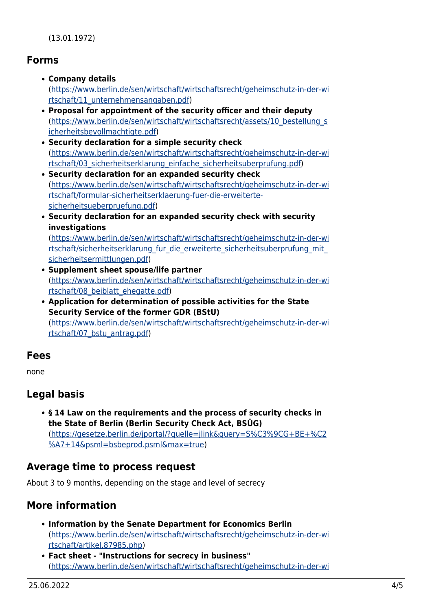#### <span id="page-3-0"></span>**Forms**

- **Company details** ([https://www.berlin.de/sen/wirtschaft/wirtschaftsrecht/geheimschutz-in-der-wi](https://www.berlin.de/sen/wirtschaft/wirtschaftsrecht/geheimschutz-in-der-wirtschaft/11_unternehmensangaben.pdf) [rtschaft/11\\_unternehmensangaben.pdf\)](https://www.berlin.de/sen/wirtschaft/wirtschaftsrecht/geheimschutz-in-der-wirtschaft/11_unternehmensangaben.pdf) **Proposal for appointment of the security officer and their deputy**
- ([https://www.berlin.de/sen/wirtschaft/wirtschaftsrecht/assets/10\\_bestellung\\_s](https://www.berlin.de/sen/wirtschaft/wirtschaftsrecht/assets/10_bestellung_sicherheitsbevollmachtigte.pdf) [icherheitsbevollmachtigte.pdf\)](https://www.berlin.de/sen/wirtschaft/wirtschaftsrecht/assets/10_bestellung_sicherheitsbevollmachtigte.pdf)
- **Security declaration for a simple security check** ([https://www.berlin.de/sen/wirtschaft/wirtschaftsrecht/geheimschutz-in-der-wi](https://www.berlin.de/sen/wirtschaft/wirtschaftsrecht/geheimschutz-in-der-wirtschaft/03_sicherheitserklarung_einfache_sicherheitsuberprufung.pdf) [rtschaft/03\\_sicherheitserklarung\\_einfache\\_sicherheitsuberprufung.pdf\)](https://www.berlin.de/sen/wirtschaft/wirtschaftsrecht/geheimschutz-in-der-wirtschaft/03_sicherheitserklarung_einfache_sicherheitsuberprufung.pdf)
- **Security declaration for an expanded security check** ([https://www.berlin.de/sen/wirtschaft/wirtschaftsrecht/geheimschutz-in-der-wi](https://www.berlin.de/sen/wirtschaft/wirtschaftsrecht/geheimschutz-in-der-wirtschaft/formular-sicherheitserklaerung-fuer-die-erweiterte-sicherheitsueberpruefung.pdf) [rtschaft/formular-sicherheitserklaerung-fuer-die-erweiterte](https://www.berlin.de/sen/wirtschaft/wirtschaftsrecht/geheimschutz-in-der-wirtschaft/formular-sicherheitserklaerung-fuer-die-erweiterte-sicherheitsueberpruefung.pdf)[sicherheitsueberpruefung.pdf\)](https://www.berlin.de/sen/wirtschaft/wirtschaftsrecht/geheimschutz-in-der-wirtschaft/formular-sicherheitserklaerung-fuer-die-erweiterte-sicherheitsueberpruefung.pdf)
- **Security declaration for an expanded security check with security investigations**

([https://www.berlin.de/sen/wirtschaft/wirtschaftsrecht/geheimschutz-in-der-wi](https://www.berlin.de/sen/wirtschaft/wirtschaftsrecht/geheimschutz-in-der-wirtschaft/sicherheitserklarung_fur_die_erweiterte_sicherheitsuberprufung_mit_sicherheitsermittlungen.pdf) rtschaft/sicherheitserklarung fur die erweiterte sicherheitsuberprufung mit [sicherheitsermittlungen.pdf](https://www.berlin.de/sen/wirtschaft/wirtschaftsrecht/geheimschutz-in-der-wirtschaft/sicherheitserklarung_fur_die_erweiterte_sicherheitsuberprufung_mit_sicherheitsermittlungen.pdf))

- **Supplement sheet spouse/life partner** ([https://www.berlin.de/sen/wirtschaft/wirtschaftsrecht/geheimschutz-in-der-wi](https://www.berlin.de/sen/wirtschaft/wirtschaftsrecht/geheimschutz-in-der-wirtschaft/08_beiblatt_ehegatte.pdf) [rtschaft/08\\_beiblatt\\_ehegatte.pdf\)](https://www.berlin.de/sen/wirtschaft/wirtschaftsrecht/geheimschutz-in-der-wirtschaft/08_beiblatt_ehegatte.pdf)
- **Application for determination of possible activities for the State Security Service of the former GDR (BStU)** ([https://www.berlin.de/sen/wirtschaft/wirtschaftsrecht/geheimschutz-in-der-wi](https://www.berlin.de/sen/wirtschaft/wirtschaftsrecht/geheimschutz-in-der-wirtschaft/07_bstu_antrag.pdf) [rtschaft/07\\_bstu\\_antrag.pdf](https://www.berlin.de/sen/wirtschaft/wirtschaftsrecht/geheimschutz-in-der-wirtschaft/07_bstu_antrag.pdf))

## <span id="page-3-1"></span>**Fees**

none

# <span id="page-3-2"></span>**Legal basis**

**§ 14 Law on the requirements and the process of security checks in the State of Berlin (Berlin Security Check Act, BSÜG)** ([https://gesetze.berlin.de/jportal/?quelle=jlink&query=S%C3%9CG+BE+%C2](https://gesetze.berlin.de/jportal/?quelle=jlink&query=S%C3%9CG+BE+%C2%A7+14&psml=bsbeprod.psml&max=true) [%A7+14&psml=bsbeprod.psml&max=true](https://gesetze.berlin.de/jportal/?quelle=jlink&query=S%C3%9CG+BE+%C2%A7+14&psml=bsbeprod.psml&max=true))

## <span id="page-3-3"></span>**Average time to process request**

About 3 to 9 months, depending on the stage and level of secrecy

# <span id="page-3-4"></span>**More information**

- **Information by the Senate Department for Economics Berlin** ([https://www.berlin.de/sen/wirtschaft/wirtschaftsrecht/geheimschutz-in-der-wi](https://www.berlin.de/sen/wirtschaft/wirtschaftsrecht/geheimschutz-in-der-wirtschaft/artikel.87985.php) [rtschaft/artikel.87985.php](https://www.berlin.de/sen/wirtschaft/wirtschaftsrecht/geheimschutz-in-der-wirtschaft/artikel.87985.php))
- **Fact sheet "Instructions for secrecy in business"** ([https://www.berlin.de/sen/wirtschaft/wirtschaftsrecht/geheimschutz-in-der-wi](https://www.berlin.de/sen/wirtschaft/wirtschaftsrecht/geheimschutz-in-der-wirtschaft/01_merkblatt_geheimhaltung_in_der_wirtschaft.pdf)